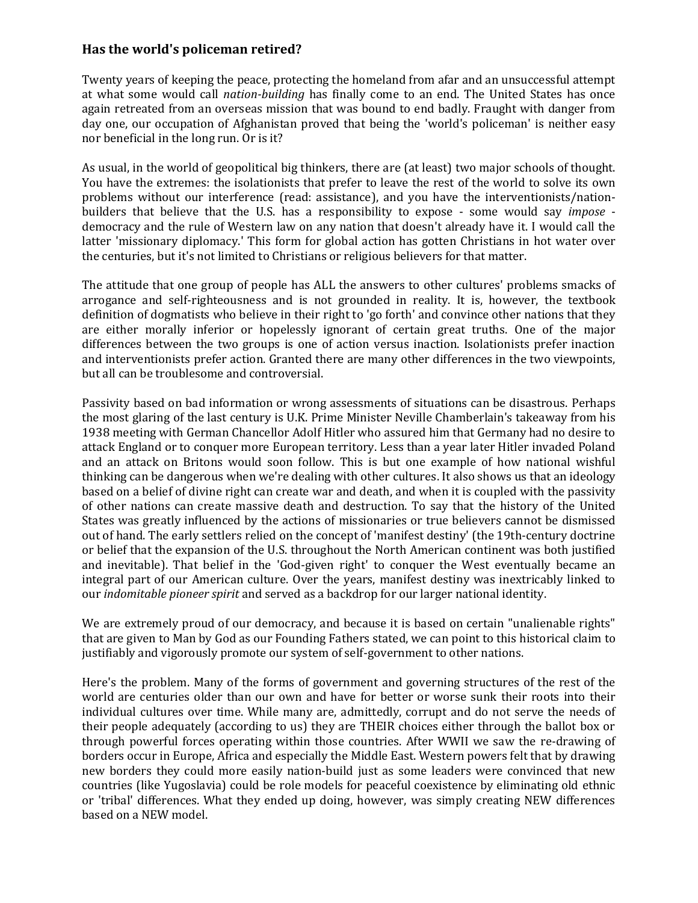## **Has the world's policeman retired?**

Twenty years of keeping the peace, protecting the homeland from afar and an unsuccessful attempt at what some would call *nation-building* has finally come to an end. The United States has once again retreated from an overseas mission that was bound to end badly. Fraught with danger from day one, our occupation of Afghanistan proved that being the 'world's policeman' is neither easy nor beneficial in the long run. Or is it?

As usual, in the world of geopolitical big thinkers, there are (at least) two major schools of thought. You have the extremes: the isolationists that prefer to leave the rest of the world to solve its own problems without our interference (read: assistance), and you have the interventionists/nationbuilders that believe that the U.S. has a responsibility to expose - some would say *impose* democracy and the rule of Western law on any nation that doesn't already have it. I would call the latter 'missionary diplomacy.' This form for global action has gotten Christians in hot water over the centuries, but it's not limited to Christians or religious believers for that matter.

The attitude that one group of people has ALL the answers to other cultures' problems smacks of arrogance and self-righteousness and is not grounded in reality. It is, however, the textbook definition of dogmatists who believe in their right to 'go forth' and convince other nations that they are either morally inferior or hopelessly ignorant of certain great truths. One of the major differences between the two groups is one of action versus inaction. Isolationists prefer inaction and interventionists prefer action. Granted there are many other differences in the two viewpoints, but all can be troublesome and controversial.

Passivity based on bad information or wrong assessments of situations can be disastrous. Perhaps the most glaring of the last century is U.K. Prime Minister Neville Chamberlain's takeaway from his 1938 meeting with German Chancellor Adolf Hitler who assured him that Germany had no desire to attack England or to conquer more European territory. Less than a year later Hitler invaded Poland and an attack on Britons would soon follow. This is but one example of how national wishful thinking can be dangerous when we're dealing with other cultures. It also shows us that an ideology based on a belief of divine right can create war and death, and when it is coupled with the passivity of other nations can create massive death and destruction. To say that the history of the United States was greatly influenced by the actions of missionaries or true believers cannot be dismissed out of hand. The early settlers relied on the concept of 'manifest destiny' (the 19th-century doctrine or belief that the expansion of the U.S. throughout the North American continent was both justified and inevitable). That belief in the 'God-given right' to conquer the West eventually became an integral part of our American culture. Over the years, manifest destiny was inextricably linked to our *indomitable pioneer spirit* and served as a backdrop for our larger national identity.

We are extremely proud of our democracy, and because it is based on certain "unalienable rights" that are given to Man by God as our Founding Fathers stated, we can point to this historical claim to justifiably and vigorously promote our system of self-government to other nations.

Here's the problem. Many of the forms of government and governing structures of the rest of the world are centuries older than our own and have for better or worse sunk their roots into their individual cultures over time. While many are, admittedly, corrupt and do not serve the needs of their people adequately (according to us) they are THEIR choices either through the ballot box or through powerful forces operating within those countries. After WWII we saw the re-drawing of borders occur in Europe, Africa and especially the Middle East. Western powers felt that by drawing new borders they could more easily nation-build just as some leaders were convinced that new countries (like Yugoslavia) could be role models for peaceful coexistence by eliminating old ethnic or 'tribal' differences. What they ended up doing, however, was simply creating NEW differences based on a NEW model.